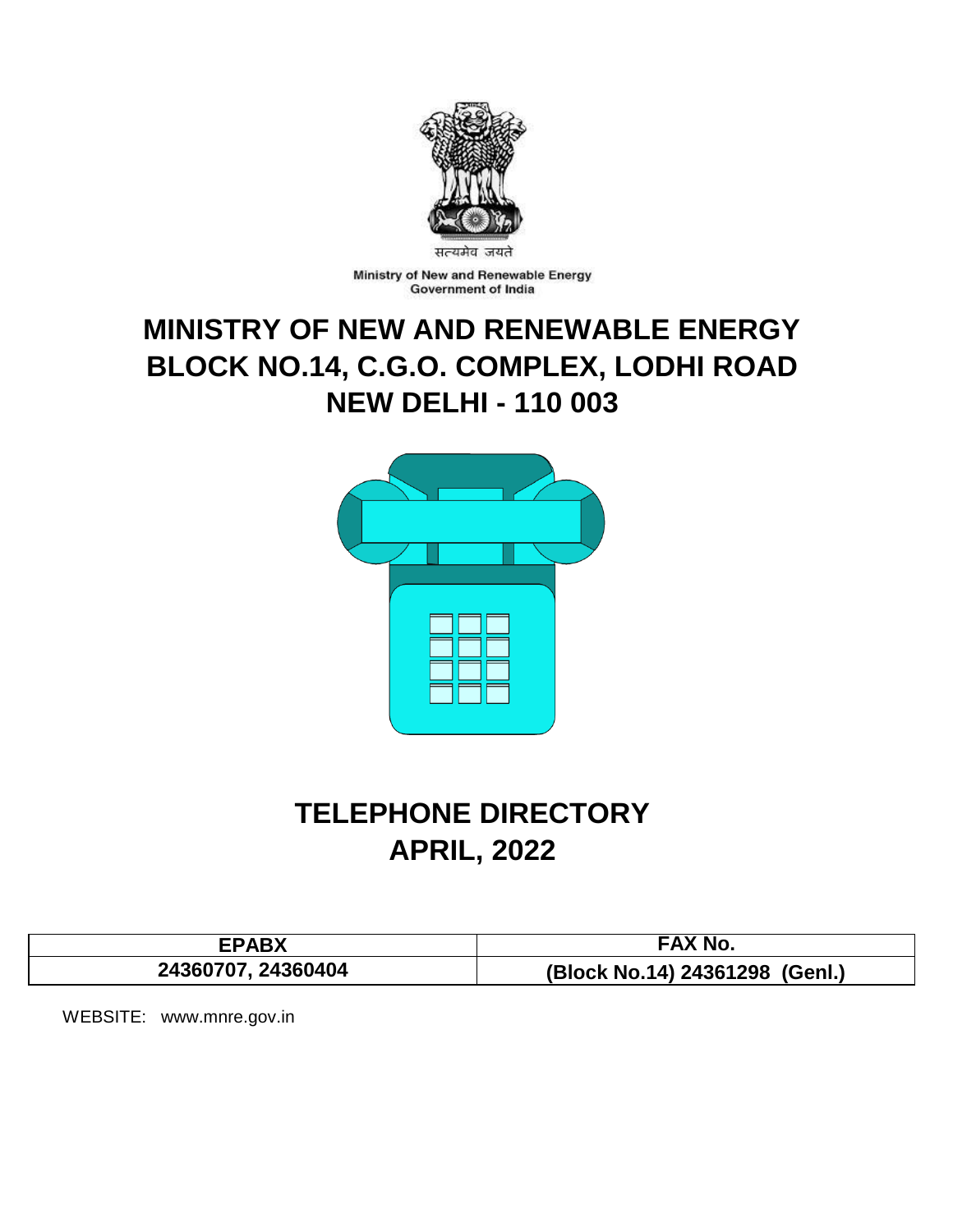

Ministry of New and Renewable Energy Government of India

# **MINISTRY OF NEW AND RENEWABLE ENERGY BLOCK NO.14, C.G.O. COMPLEX, LODHI ROAD NEW DELHI - 110 003**



# **TELEPHONE DIRECTORY APRIL, 2022**

| CDADV              | <b>EAX No.</b>                 |
|--------------------|--------------------------------|
| 24360707, 24360404 | (Block No.14) 24361298 (Genl.) |

WEBSITE: www.mnre.gov.in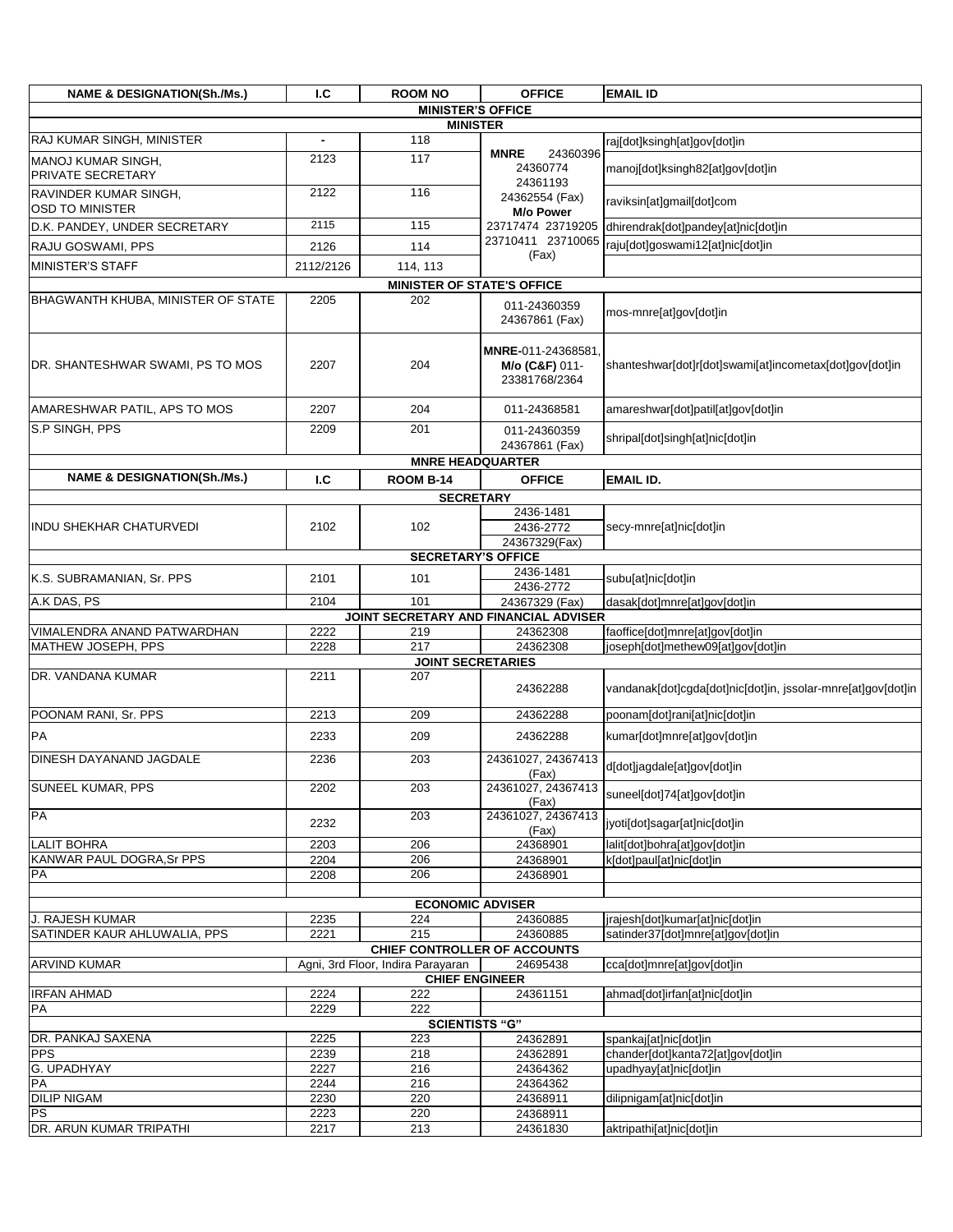| <b>NAME &amp; DESIGNATION(Sh./Ms.)</b>          | I.C          | <b>ROOM NO</b>                      | <b>OFFICE</b>                                        | <b>EMAIL ID</b>                                              |
|-------------------------------------------------|--------------|-------------------------------------|------------------------------------------------------|--------------------------------------------------------------|
|                                                 |              | <b>MINISTER'S OFFICE</b>            |                                                      |                                                              |
| RAJ KUMAR SINGH, MINISTER                       |              | <b>MINISTER</b>                     |                                                      |                                                              |
|                                                 |              | 118<br>117                          | <b>MNRE</b><br>24360396                              | raj[dot]ksingh[at]gov[dot]in                                 |
| MANOJ KUMAR SINGH,<br>PRIVATE SECRETARY         | 2123         |                                     | 24360774<br>24361193                                 | manoj[dot]ksingh82[at]gov[dot]in                             |
| RAVINDER KUMAR SINGH.<br><b>OSD TO MINISTER</b> | 2122         | 116                                 | 24362554 (Fax)<br>M/o Power                          | raviksin[at]gmail[dot]com                                    |
| D.K. PANDEY, UNDER SECRETARY                    | 2115         | 115                                 | 23717474 23719205                                    | dhirendrak[dot]pandey[at]nic[dot]in                          |
| RAJU GOSWAMI, PPS                               | 2126         | 114                                 | 23710411 23710065                                    | raju[dot]goswami12[at]nic[dot]in                             |
| <b>MINISTER'S STAFF</b>                         | 2112/2126    | 114, 113                            | (Fax)                                                |                                                              |
|                                                 |              | <b>MINISTER OF STATE'S OFFICE</b>   |                                                      |                                                              |
| <b>BHAGWANTH KHUBA, MINISTER OF STATE</b>       | 2205         | 202                                 | 011-24360359<br>24367861 (Fax)                       | mos-mnre[at]gov[dot]in                                       |
| DR. SHANTESHWAR SWAMI, PS TO MOS                | 2207         | 204                                 | MNRE-011-24368581<br>M/o (C&F) 011-<br>23381768/2364 | shanteshwar[dot]r[dot]swami[at]incometax[dot]gov[dot]in      |
| AMARESHWAR PATIL, APS TO MOS                    | 2207         | 204                                 | 011-24368581                                         | amareshwar[dot]patil[at]gov[dot]in                           |
| S.P SINGH, PPS                                  | 2209         | 201                                 | 011-24360359<br>24367861 (Fax)                       | shripal[dot]singh[at]nic[dot]in                              |
|                                                 |              | <b>MNRE HEADQUARTER</b>             |                                                      |                                                              |
| <b>NAME &amp; DESIGNATION(Sh./Ms.)</b>          | I.C          | <b>ROOM B-14</b>                    | <b>OFFICE</b>                                        | <b>EMAIL ID.</b>                                             |
|                                                 |              | <b>SECRETARY</b>                    |                                                      |                                                              |
| <b>INDU SHEKHAR CHATURVEDI</b>                  | 2102         | 102                                 | 2436-1481<br>2436-2772<br>24367329(Fax)              | secy-mnre[at]nic[dot]in                                      |
|                                                 |              | <b>SECRETARY'S OFFICE</b>           |                                                      |                                                              |
| K.S. SUBRAMANIAN, Sr. PPS                       | 2101         | 101                                 | 2436-1481<br>2436-2772                               | subu[at]nic[dot]in                                           |
| A.K DAS, PS                                     | 2104         | 101                                 | 24367329 (Fax)                                       | dasak[dot]mnre[at]gov[dot]in                                 |
| VIMALENDRA ANAND PATWARDHAN                     | 2222         | 219                                 | JOINT SECRETARY AND FINANCIAL ADVISER<br>24362308    | faoffice[dot]mnre[at]gov[dot]in                              |
| MATHEW JOSEPH, PPS                              | 2228         | 217                                 | 24362308                                             | joseph[dot]methew09[at]gov[dot]in                            |
|                                                 |              | <b>JOINT SECRETARIES</b>            |                                                      |                                                              |
| DR. VANDANA KUMAR                               | 2211         | 207                                 | 24362288                                             | vandanak[dot]cgda[dot]nic[dot]in, jssolar-mnre[at]gov[dot]in |
| POONAM RANI, Sr. PPS                            | 2213         | 209                                 | 24362288                                             | poonam[dot]rani[at]nic[dot]in                                |
| PA                                              | 2233         | 209                                 | 24362288                                             | kumar[dot]mnre[at]gov[dot]in                                 |
| <b>DINESH DAYANAND JAGDALE</b>                  | 2236         | 203                                 | 24361027, 24367413<br>(Fax)                          | d[dot]jagdale[at]gov[dot]in                                  |
| <b>SUNEEL KUMAR, PPS</b>                        | 2202         | 203                                 | 24361027, 24367413<br>(Fax)                          | suneel[dot]74[at]gov[dot]in                                  |
| PA                                              | 2232         | 203                                 | 24361027, 24367413<br>(Fax)                          | jyoti[dot]sagar[at]nic[dot]in                                |
| <b>LALIT BOHRA</b><br>KANWAR PAUL DOGRA, Sr PPS | 2203         | 206                                 | 24368901                                             | lalit[dot]bohra[at]gov[dot]in                                |
| PA                                              | 2204<br>2208 | 206<br>206                          | 24368901<br>24368901                                 | k[dot]paul[at]nic[dot]in                                     |
|                                                 |              |                                     |                                                      |                                                              |
|                                                 |              | <b>ECONOMIC ADVISER</b>             |                                                      |                                                              |
| J. RAJESH KUMAR                                 | 2235         | 224                                 | 24360885                                             | jrajesh[dot]kumar[at]nic[dot]in                              |
| SATINDER KAUR AHLUWALIA, PPS                    | 2221         | 215<br>CHIEF CONTROLLER OF ACCOUNTS | 24360885                                             | satinder37[dot]mnre[at]gov[dot]in                            |
| <b>ARVIND KUMAR</b>                             |              | Agni, 3rd Floor, Indira Parayaran   | 24695438                                             | cca[dot]mnre[at]gov[dot]in                                   |
|                                                 |              | <b>CHIEF ENGINEER</b>               |                                                      |                                                              |
| <b>IRFAN AHMAD</b><br>PA                        | 2224<br>2229 | 222<br>222                          | 24361151                                             | ahmad[dot]irfan[at]nic[dot]in                                |
|                                                 |              | <b>SCIENTISTS "G"</b>               |                                                      |                                                              |
| DR. PANKAJ SAXENA                               | 2225         | 223                                 | 24362891                                             | spankaj[at]nic[dot]in                                        |
| <b>PPS</b>                                      | 2239         | 218                                 | 24362891                                             | chander[dot]kanta72[at]gov[dot]in                            |
| <b>G. UPADHYAY</b>                              | 2227         | 216                                 | 24364362                                             | upadhyay[at]nic[dot]in                                       |
| PA<br><b>DILIP NIGAM</b>                        | 2244<br>2230 | 216<br>220                          | 24364362<br>24368911                                 | dilipnigam[at]nic[dot]in                                     |
| <b>PS</b>                                       | 2223         | 220                                 | 24368911                                             |                                                              |
| DR. ARUN KUMAR TRIPATHI                         | 2217         | 213                                 | 24361830                                             | aktripathi[at]nic[dot]in                                     |
|                                                 |              |                                     |                                                      |                                                              |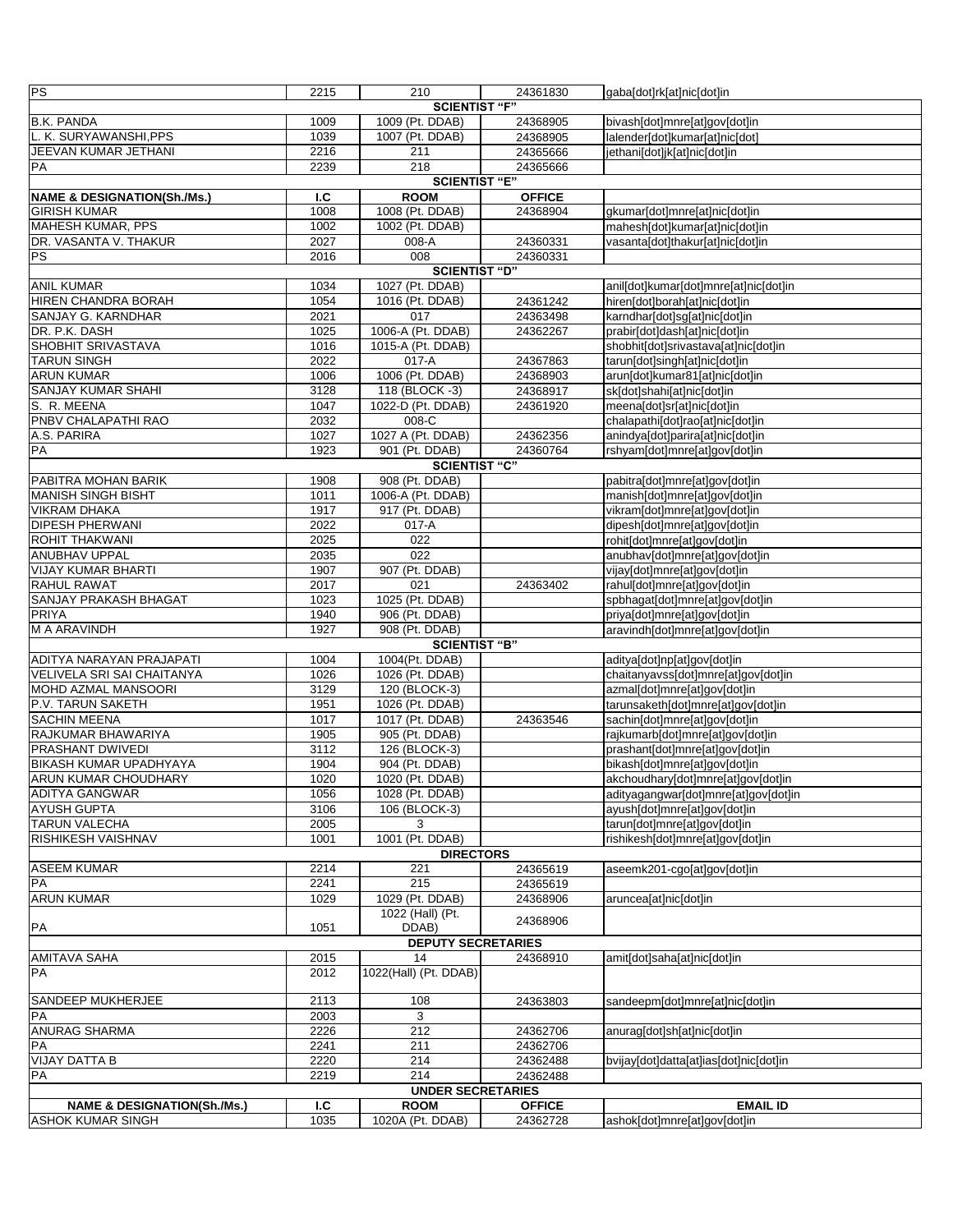| <b>PS</b>                                                       | 2215         | 210                                    | 24361830      | gaba[dot]rk[at]nic[dot]in                                          |
|-----------------------------------------------------------------|--------------|----------------------------------------|---------------|--------------------------------------------------------------------|
|                                                                 |              | <b>SCIENTIST "F"</b>                   |               |                                                                    |
| <b>B.K. PANDA</b>                                               | 1009         | 1009 (Pt. DDAB)                        | 24368905      | bivash[dot]mnre[at]gov[dot]in                                      |
| L. K. SURYAWANSHI, PPS                                          | 1039         | 1007 (Pt. DDAB)                        | 24368905      | lalender[dot]kumar[at]nic[dot]                                     |
| JEEVAN KUMAR JETHANI                                            | 2216         | 211                                    | 24365666      | jethani[dot]jk[at]nic[dot]in                                       |
| PA                                                              | 2239         | 218                                    | 24365666      |                                                                    |
|                                                                 |              | <b>SCIENTIST "E"</b>                   |               |                                                                    |
| <b>NAME &amp; DESIGNATION(Sh./Ms.)</b><br><b>GIRISH KUMAR</b>   | I.C          | <b>ROOM</b>                            | <b>OFFICE</b> |                                                                    |
| MAHESH KUMAR, PPS                                               | 1008<br>1002 | 1008 (Pt. DDAB)<br>1002 (Pt. DDAB)     | 24368904      | gkumar[dot]mnre[at]nic[dot]in<br>mahesh[dot]kumar[at]nic[dot]in    |
| DR. VASANTA V. THAKUR                                           | 2027         | 008-A                                  | 24360331      | vasanta[dot]thakur[at]nic[dot]in                                   |
| <b>PS</b>                                                       | 2016         | 008                                    | 24360331      |                                                                    |
|                                                                 |              | SCIENTIST "D"                          |               |                                                                    |
| <b>ANIL KUMAR</b>                                               | 1034         | 1027 (Pt. DDAB)                        |               | anil[dot]kumar[dot]mnre[at]nic[dot]in                              |
| <b>HIREN CHANDRA BORAH</b>                                      | 1054         | 1016 (Pt. DDAB)                        | 24361242      | hiren[dot]borah[at]nic[dot]in                                      |
| SANJAY G. KARNDHAR                                              | 2021         | 017                                    | 24363498      | karndhar[dot]sg[at]nic[dot]in                                      |
| DR. P.K. DASH                                                   | 1025         | 1006-A (Pt. DDAB)                      | 24362267      | prabir[dot]dash[at]nic[dot]in                                      |
| SHOBHIT SRIVASTAVA                                              | 1016         | 1015-A (Pt. DDAB)                      |               | shobhit[dot]srivastava[at]nic[dot]in                               |
| <b>TARUN SINGH</b>                                              | 2022         | 017-A                                  | 24367863      | tarun[dot]singh[at]nic[dot]in                                      |
| <b>ARUN KUMAR</b>                                               | 1006         | 1006 (Pt. DDAB)                        | 24368903      | arun[dot]kumar81[at]nic[dot]in                                     |
| SANJAY KUMAR SHAHI                                              | 3128         | 118 (BLOCK -3)                         | 24368917      | sk[dot]shahi[at]nic[dot]in                                         |
| S. R. MEENA                                                     | 1047         | 1022-D (Pt. DDAB)                      | 24361920      | meena[dot]sr[at]nic[dot]in                                         |
| PNBV CHALAPATHI RAO                                             | 2032         | 008-C                                  |               | chalapathi[dot]rao[at]nic[dot]in                                   |
| A.S. PARIRA                                                     | 1027         | 1027 A (Pt. DDAB)                      | 24362356      | anindya[dot]parira[at]nic[dot]in                                   |
| PA                                                              | 1923         | 901 (Pt. DDAB)                         | 24360764      | rshyam[dot]mnre[at]gov[dot]in                                      |
| PABITRA MOHAN BARIK                                             | 1908         | <b>SCIENTIST "C"</b><br>908 (Pt. DDAB) |               | pabitra[dot]mnre[at]gov[dot]in                                     |
| <b>MANISH SINGH BISHT</b>                                       | 1011         | 1006-A (Pt. DDAB)                      |               | manish[dot]mnre[at]gov[dot]in                                      |
| <b>VIKRAM DHAKA</b>                                             | 1917         | 917 (Pt. DDAB)                         |               | vikram[dot]mnre[at]gov[dot]in                                      |
| <b>DIPESH PHERWANI</b>                                          | 2022         | 017-A                                  |               | dipesh[dot]mnre[at]gov[dot]in                                      |
| <b>ROHIT THAKWANI</b>                                           | 2025         | $\overline{022}$                       |               | rohit[dot]mnre[at]gov[dot]in                                       |
| ANUBHAV UPPAL                                                   | 2035         | 022                                    |               | anubhav[dot]mnre[at]gov[dot]in                                     |
| <b>VIJAY KUMAR BHARTI</b>                                       | 1907         | 907 (Pt. DDAB)                         |               | vijay[dot]mnre[at]gov[dot]in                                       |
| <b>RAHUL RAWAT</b>                                              | 2017         | 021                                    | 24363402      | rahul[dot]mnre[at]gov[dot]in                                       |
| SANJAY PRAKASH BHAGAT                                           | 1023         | 1025 (Pt. DDAB)                        |               | spbhagat[dot]mnre[at]gov[dot]in                                    |
| PRIYA                                                           | 1940         | 906 (Pt. DDAB)                         |               | priya[dot]mnre[at]gov[dot]in                                       |
| M A ARAVINDH                                                    | 1927         | 908 (Pt. DDAB)                         |               | aravindh[dot]mnre[at]gov[dot]in                                    |
|                                                                 |              | <b>SCIENTIST "B"</b>                   |               |                                                                    |
| ADITYA NARAYAN PRAJAPATI                                        | 1004         | 1004(Pt. DDAB)                         |               | aditya[dot]np[at]gov[dot]in                                        |
| <b>VELIVELA SRI SAI CHAITANYA</b><br><b>MOHD AZMAL MANSOORI</b> | 1026<br>3129 | 1026 (Pt. DDAB)<br>120 (BLOCK-3)       |               | chaitanyavss[dot]mnre[at]gov[dot]in                                |
| P.V. TARUN SAKETH                                               | 1951         | 1026 (Pt. DDAB)                        |               | azmal[dot]mnre[at]gov[dot]in<br>tarunsaketh[dot]mnre[at]gov[dot]in |
| <b>SACHIN MEENA</b>                                             | 1017         | 1017 (Pt. DDAB)                        | 24363546      | sachin[dot]mnre[at]gov[dot]in                                      |
| RAJKUMAR BHAWARIYA                                              | 1905         | 905 (Pt. DDAB)                         |               | rajkumarb[dot]mnre[at]gov[dot]in                                   |
| PRASHANT DWIVEDI                                                | 3112         | 126 (BLOCK-3)                          |               | prashant[dot]mnre[at]gov[dot]in                                    |
| <b>BIKASH KUMAR UPADHYAYA</b>                                   | 1904         | 904 (Pt. DDAB)                         |               | bikash[dot]mnre[at]gov[dot]in                                      |
| <b>ARUN KUMAR CHOUDHARY</b>                                     | 1020         | 1020 (Pt. DDAB)                        |               | akchoudhary[dot]mnre[at]gov[dot]in                                 |
| <b>ADITYA GANGWAR</b>                                           | 1056         | 1028 (Pt. DDAB)                        |               | adityagangwar[dot]mnre[at]gov[dot]in                               |
| <b>AYUSH GUPTA</b>                                              | 3106         | 106 (BLOCK-3)                          |               | ayush[dot]mnre[at]gov[dot]in                                       |
| <b>TARUN VALECHA</b>                                            | 2005         | 3                                      |               | tarun[dot]mnre[at]gov[dot]in                                       |
| <b>RISHIKESH VAISHNAV</b>                                       | 1001         | 1001 (Pt. DDAB)                        |               | rishikesh[dot]mnre[at]qov[dot]in                                   |
|                                                                 |              | <b>DIRECTORS</b>                       |               |                                                                    |
| <b>ASEEM KUMAR</b><br>PA                                        | 2214         | 221<br>215                             | 24365619      | aseemk201-cgo[at]gov[dot]in                                        |
| <b>ARUN KUMAR</b>                                               | 2241<br>1029 | 1029 (Pt. DDAB)                        | 24365619      | aruncea[at]nic[dot]in                                              |
|                                                                 |              | 1022 (Hall) (Pt.                       | 24368906      |                                                                    |
| PA                                                              | 1051         | DDAB)                                  | 24368906      |                                                                    |
|                                                                 |              | <b>DEPUTY SECRETARIES</b>              |               |                                                                    |
| <b>AMITAVA SAHA</b>                                             | 2015         | 14                                     | 24368910      | amit[dot]saha[at]nic[dot]in                                        |
| PA                                                              | 2012         | 1022(Hall) (Pt. DDAB)                  |               |                                                                    |
|                                                                 |              |                                        |               |                                                                    |
| <b>SANDEEP MUKHERJEE</b>                                        | 2113         | 108                                    | 24363803      | sandeepm[dot]mnre[at]nic[dot]in                                    |
| PA                                                              | 2003         | 3                                      |               |                                                                    |
| <b>ANURAG SHARMA</b>                                            | 2226         | 212                                    | 24362706      | anurag[dot]sh[at]nic[dot]in                                        |
| PA                                                              | 2241         | 211                                    | 24362706      |                                                                    |
| <b>VIJAY DATTA B</b>                                            | 2220         | 214                                    | 24362488      | bvijay[dot]datta[at]ias[dot]nic[dot]in                             |
| PA                                                              | 2219         | 214<br><b>UNDER SECRETARIES</b>        | 24362488      |                                                                    |
| <b>NAME &amp; DESIGNATION(Sh./Ms.)</b>                          | 1.C          | <b>ROOM</b>                            | <b>OFFICE</b> | <b>EMAIL ID</b>                                                    |
| ASHOK KUMAR SINGH                                               | 1035         | 1020A (Pt. DDAB)                       | 24362728      | ashok[dot]mnre[at]gov[dot]in                                       |
|                                                                 |              |                                        |               |                                                                    |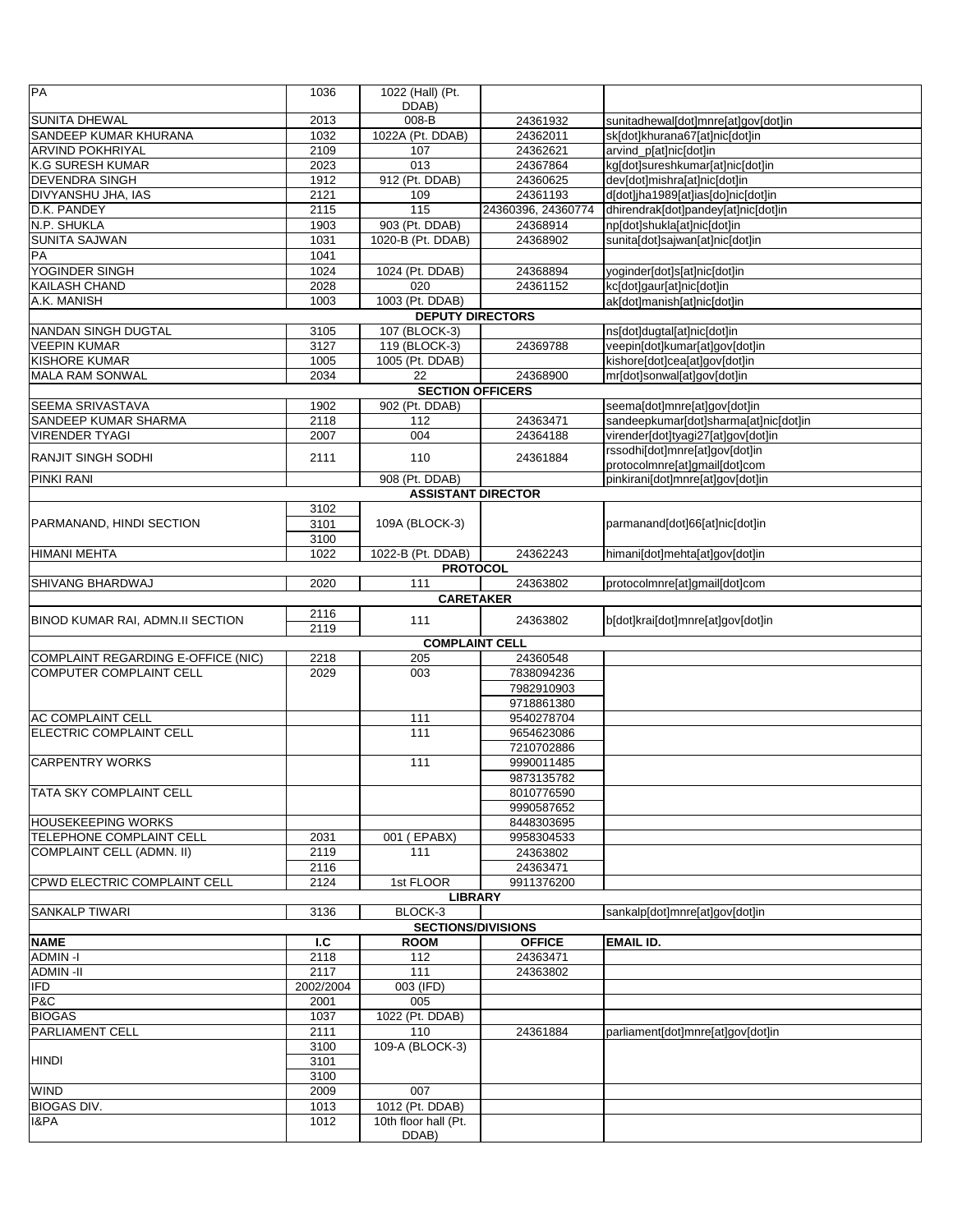| PA                                                           | 1036         | 1022 (Hall) (Pt.              |                      |                                                          |
|--------------------------------------------------------------|--------------|-------------------------------|----------------------|----------------------------------------------------------|
| <b>SUNITA DHEWAL</b>                                         |              | DDAB)                         | 24361932             |                                                          |
| SANDEEP KUMAR KHURANA                                        | 2013<br>1032 | 008-B<br>1022A (Pt. DDAB)     | 24362011             | sunitadhewal[dot]mnre[at]gov[dot]in                      |
| <b>ARVIND POKHRIYAL</b>                                      | 2109         | 107                           | 24362621             | sk[dot]khurana67[at]nic[dot]in<br>arvind_p[at]nic[dot]in |
| K.G SURESH KUMAR                                             | 2023         | 013                           | 24367864             | kg[dot]sureshkumar[at]nic[dot]in                         |
| <b>DEVENDRA SINGH</b>                                        | 1912         | 912 (Pt. DDAB)                | 24360625             | dev[dot]mishra[at]nic[dot]in                             |
| DIVYANSHU JHA, IAS                                           | 2121         | 109                           | 24361193             | d[dot]jha1989[at]ias[do]nic[dot]in                       |
| D.K. PANDEY                                                  | 2115         | 115                           | 24360396, 24360774   | dhirendrak[dot]pandey[at]nic[dot]in                      |
| N.P. SHUKLA                                                  | 1903         | 903 (Pt. DDAB)                | 24368914             | np[dot]shukla[at]nic[dot]in                              |
| <b>SUNITA SAJWAN</b>                                         | 1031         | 1020-B (Pt. DDAB)             | 24368902             | sunita[dot]sajwan[at]nic[dot]in                          |
| PA                                                           | 1041         |                               |                      |                                                          |
| YOGINDER SINGH                                               | 1024         | 1024 (Pt. DDAB)               | 24368894             | yoginder[dot]s[at]nic[dot]in                             |
| <b>KAILASH CHAND</b>                                         | 2028         | 020                           | 24361152             | kc[dot]gaur[at]nic[dot]in                                |
| A.K. MANISH                                                  | 1003         | 1003 (Pt. DDAB)               |                      | ak[dot]manish[at]nic[dot]in                              |
|                                                              |              | <b>DEPUTY DIRECTORS</b>       |                      |                                                          |
| <b>NANDAN SINGH DUGTAL</b>                                   | 3105         | 107 (BLOCK-3)                 |                      | ns[dot]dugtal[at]nic[dot]in                              |
| <b>VEEPIN KUMAR</b>                                          | 3127         | 119 (BLOCK-3)                 | 24369788             | veepin[dot]kumar[at]gov[dot]in                           |
| KISHORE KUMAR                                                | 1005<br>2034 | 1005 (Pt. DDAB)               |                      | kishore[dot]cea[at]gov[dot]in                            |
| MALA RAM SONWAL                                              |              | 22<br><b>SECTION OFFICERS</b> | 24368900             | mr[dot]sonwal[at]gov[dot]in                              |
| SEEMA SRIVASTAVA                                             | 1902         | 902 (Pt. DDAB)                |                      | seema[dot]mnre[at]gov[dot]in                             |
| SANDEEP KUMAR SHARMA                                         | 2118         | 112                           | 24363471             | sandeepkumar[dot]sharma[at]nic[dot]in                    |
| <b>VIRENDER TYAGI</b>                                        | 2007         | 004                           | 24364188             | virender[dot]tyagi27[at]gov[dot]in                       |
|                                                              |              |                               |                      | rssodhi[dot]mnre[at]gov[dot]in                           |
| RANJIT SINGH SODHI                                           | 2111         | 110                           | 24361884             | protocolmnre[at]gmail[dot]com                            |
| <b>PINKI RANI</b>                                            |              | 908 (Pt. DDAB)                |                      | pinkirani[dot]mnre[at]gov[dot]in                         |
|                                                              |              | <b>ASSISTANT DIRECTOR</b>     |                      |                                                          |
|                                                              | 3102         |                               |                      |                                                          |
| PARMANAND, HINDI SECTION                                     | 3101         | 109A (BLOCK-3)                |                      | parmanand[dot]66[at]nic[dot]in                           |
|                                                              | 3100         |                               |                      |                                                          |
| <b>HIMANI MEHTA</b>                                          | 1022         | 1022-B (Pt. DDAB)             | 24362243             | himani[dot]mehta[at]gov[dot]in                           |
|                                                              |              | <b>PROTOCOL</b>               |                      |                                                          |
| <b>SHIVANG BHARDWAJ</b>                                      | 2020         | 111                           | 24363802             | protocolmnre[at]gmail[dot]com                            |
|                                                              | 2116         | <b>CARETAKER</b>              |                      |                                                          |
| BINOD KUMAR RAI, ADMN.II SECTION                             | 2119         | 111                           | 24363802             | b[dot]krai[dot]mnre[at]gov[dot]in                        |
|                                                              |              | <b>COMPLAINT CELL</b>         |                      |                                                          |
| COMPLAINT REGARDING E-OFFICE (NIC)                           | 2218         | 205                           | 24360548             |                                                          |
| <b>COMPUTER COMPLAINT CELL</b>                               | 2029         | 003                           | 7838094236           |                                                          |
|                                                              |              |                               | 7982910903           |                                                          |
|                                                              |              |                               | 9718861380           |                                                          |
| <b>AC COMPLAINT CELL</b>                                     |              | 111                           | 9540278704           |                                                          |
| ELECTRIC COMPLAINT CELL                                      |              | 111                           | 9654623086           |                                                          |
|                                                              |              |                               | 7210702886           |                                                          |
| <b>CARPENTRY WORKS</b>                                       |              | 111                           | 9990011485           |                                                          |
|                                                              |              |                               | 9873135782           |                                                          |
| TATA SKY COMPLAINT CELL                                      |              |                               | 8010776590           |                                                          |
|                                                              |              |                               | 9990587652           |                                                          |
| <b>HOUSEKEEPING WORKS</b>                                    |              |                               | 8448303695           |                                                          |
| TELEPHONE COMPLAINT CELL<br><b>COMPLAINT CELL (ADMN. II)</b> | 2031<br>2119 | 001 (EPABX)<br>111            | 9958304533           |                                                          |
|                                                              | 2116         |                               | 24363802<br>24363471 |                                                          |
| CPWD ELECTRIC COMPLAINT CELL                                 | 2124         | 1st FLOOR                     | 9911376200           |                                                          |
|                                                              |              | <b>LIBRARY</b>                |                      |                                                          |
| <b>SANKALP TIWARI</b>                                        | 3136         | BLOCK-3                       |                      | sankalp[dot]mnre[at]gov[dot]in                           |
|                                                              |              | <b>SECTIONS/DIVISIONS</b>     |                      |                                                          |
| <b>NAME</b>                                                  | 1.C          | <b>ROOM</b>                   | <b>OFFICE</b>        | <b>EMAIL ID.</b>                                         |
| <b>ADMIN-I</b>                                               | 2118         | 112                           | 24363471             |                                                          |
| <b>ADMIN-II</b>                                              | 2117         | 111                           | 24363802             |                                                          |
| <b>IFD</b>                                                   | 2002/2004    | 003 (IFD)                     |                      |                                                          |
| P&C                                                          | 2001         | 005                           |                      |                                                          |
| <b>BIOGAS</b>                                                | 1037         | 1022 (Pt. DDAB)               |                      |                                                          |
| <b>PARLIAMENT CELL</b>                                       |              |                               |                      |                                                          |
|                                                              | 2111         | 110                           | 24361884             | parliament[dot]mnre[at]gov[dot]in                        |
|                                                              | 3100         | 109-A (BLOCK-3)               |                      |                                                          |
| <b>HINDI</b>                                                 | 3101         |                               |                      |                                                          |
|                                                              | 3100         |                               |                      |                                                          |
| <b>WIND</b>                                                  | 2009         | 007                           |                      |                                                          |
| <b>BIOGAS DIV.</b>                                           | 1013         | 1012 (Pt. DDAB)               |                      |                                                          |
| 1&PA                                                         | 1012         | 10th floor hall (Pt.<br>DDAB) |                      |                                                          |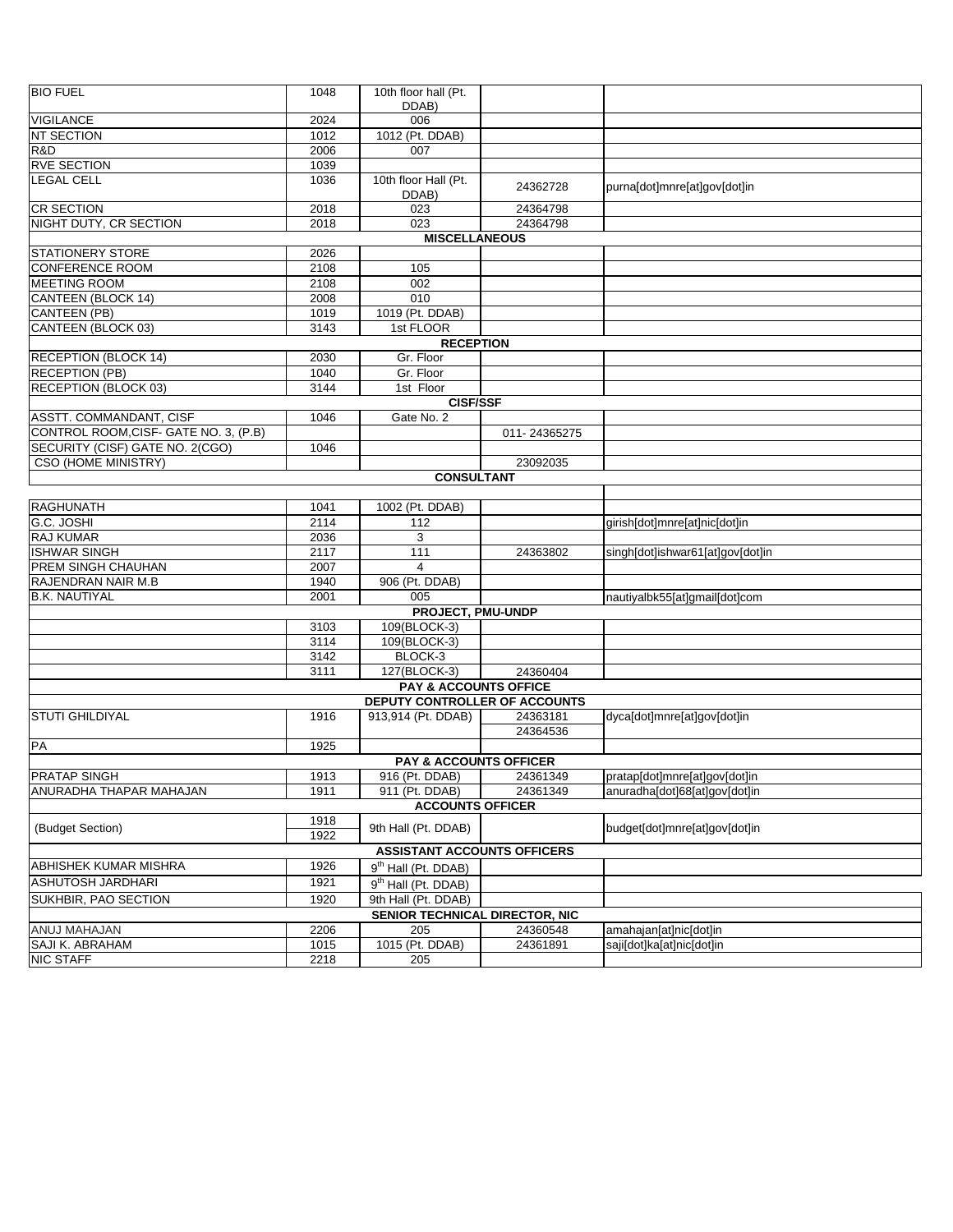| <b>BIO FUEL</b>                                                  | 1048             | 10th floor hall (Pt.                 |              |                                  |
|------------------------------------------------------------------|------------------|--------------------------------------|--------------|----------------------------------|
|                                                                  |                  | DDAB)                                |              |                                  |
| <b>VIGILANCE</b>                                                 | 2024             | 006                                  |              |                                  |
| NT SECTION                                                       | $\frac{1012}{2}$ | 1012 (Pt. DDAB)                      |              |                                  |
| R&D                                                              | 2006             | 007                                  |              |                                  |
| <b>RVE SECTION</b>                                               | 1039             |                                      |              |                                  |
| <b>LEGAL CELL</b>                                                | 1036             | 10th floor Hall (Pt.<br>DDAB)        | 24362728     | purna[dot]mnre[at]gov[dot]in     |
| <b>CR SECTION</b>                                                | 2018             | 023                                  | 24364798     |                                  |
| NIGHT DUTY, CR SECTION                                           | 2018             | 023                                  | 24364798     |                                  |
|                                                                  |                  | <b>MISCELLANEOUS</b>                 |              |                                  |
| <b>STATIONERY STORE</b>                                          | 2026             |                                      |              |                                  |
| <b>CONFERENCE ROOM</b>                                           | 2108             | 105                                  |              |                                  |
| <b>MEETING ROOM</b>                                              | 2108             | 002                                  |              |                                  |
| CANTEEN (BLOCK 14)                                               | 2008             | 010                                  |              |                                  |
| CANTEEN (PB)                                                     | 1019             | 1019 (Pt. DDAB)                      |              |                                  |
| CANTEEN (BLOCK 03)                                               | 3143             | 1st FLOOR                            |              |                                  |
|                                                                  |                  | <b>RECEPTION</b>                     |              |                                  |
| <b>RECEPTION (BLOCK 14)</b>                                      | 2030             | Gr. Floor                            |              |                                  |
| <b>RECEPTION (PB)</b>                                            | 1040             | Gr. Floor                            |              |                                  |
| RECEPTION (BLOCK 03)                                             | 3144             | 1st Floor                            |              |                                  |
|                                                                  |                  | <b>CISF/SSF</b>                      |              |                                  |
| ASSTT. COMMANDANT, CISF<br>CONTROL ROOM, CISF- GATE NO. 3, (P.B) | 1046             | Gate No. 2                           | 011-24365275 |                                  |
| SECURITY (CISF) GATE NO. 2(CGO)                                  |                  |                                      |              |                                  |
| CSO (HOME MINISTRY)                                              | 1046             |                                      | 23092035     |                                  |
|                                                                  |                  | <b>CONSULTANT</b>                    |              |                                  |
|                                                                  |                  |                                      |              |                                  |
| <b>RAGHUNATH</b>                                                 | 1041             | 1002 (Pt. DDAB)                      |              |                                  |
| G.C. JOSHI                                                       | 2114             | 112                                  |              | girish[dot]mnre[at]nic[dot]in    |
| <b>RAJ KUMAR</b>                                                 | 2036             | 3                                    |              |                                  |
| <b>ISHWAR SINGH</b>                                              | 2117             | 111                                  | 24363802     | singh[dot]ishwar61[at]gov[dot]in |
| <b>PREM SINGH CHAUHAN</b>                                        | 2007             | 4                                    |              |                                  |
| RAJENDRAN NAIR M.B                                               | 1940             | 906 (Pt. DDAB)                       |              |                                  |
| <b>B.K. NAUTIYAL</b>                                             | 2001             | 005                                  |              | nautiyalbk55[at]gmail[dot]com    |
|                                                                  |                  | PROJECT, PMU-UNDP                    |              |                                  |
|                                                                  | 3103             | 109(BLOCK-3)                         |              |                                  |
|                                                                  | 3114             | 109(BLOCK-3)                         |              |                                  |
|                                                                  | 3142             | BLOCK-3                              |              |                                  |
|                                                                  | 3111             | 127(BLOCK-3)                         | 24360404     |                                  |
|                                                                  |                  | <b>PAY &amp; ACCOUNTS OFFICE</b>     |              |                                  |
|                                                                  |                  | <b>DEPUTY CONTROLLER OF ACCOUNTS</b> |              |                                  |
| <b>STUTI GHILDIYAL</b>                                           | 1916             | 913,914 (Pt. DDAB)                   | 24363181     | dyca[dot]mnre[at]gov[dot]in      |
|                                                                  |                  |                                      | 24364536     |                                  |
| PA                                                               | 1925             |                                      |              |                                  |
|                                                                  |                  | <b>PAY &amp; ACCOUNTS OFFICER</b>    |              |                                  |
| <b>PRATAP SINGH</b>                                              | 1913             | 916 (Pt. DDAB)                       | 24361349     | pratap[dot]mnre[at]gov[dot]in    |
| ANURADHA THAPAR MAHAJAN                                          | 1911             | 911 (Pt. DDAB)                       | 24361349     | anuradha[dot]68[at]gov[dot]in    |
|                                                                  |                  | <b>ACCOUNTS OFFICER</b>              |              |                                  |
| (Budget Section)                                                 | 1918<br>1922     | 9th Hall (Pt. DDAB)                  |              | budget[dot]mnre[at]gov[dot]in    |
|                                                                  |                  | <b>ASSISTANT ACCOUNTS OFFICERS</b>   |              |                                  |
| ABHISHEK KUMAR MISHRA                                            | 1926             | 9 <sup>th</sup> Hall (Pt. DDAB)      |              |                                  |
| ASHUTOSH JARDHARI                                                | 1921             | 9 <sup>th</sup> Hall (Pt. DDAB)      |              |                                  |
| SUKHBIR, PAO SECTION                                             | 1920             | 9th Hall (Pt. DDAB)                  |              |                                  |
|                                                                  |                  | SENIOR TECHNICAL DIRECTOR, NIC       |              |                                  |
| <b>ANUJ MAHAJAN</b>                                              | 2206             | 205                                  | 24360548     | amahajan[at]nic[dot]in           |
| SAJI K. ABRAHAM                                                  | 1015             | 1015 (Pt. DDAB)                      | 24361891     | saji[dot]ka[at]nic[dot]in        |
| <b>NIC STAFF</b>                                                 | 2218             | 205                                  |              |                                  |
|                                                                  |                  |                                      |              |                                  |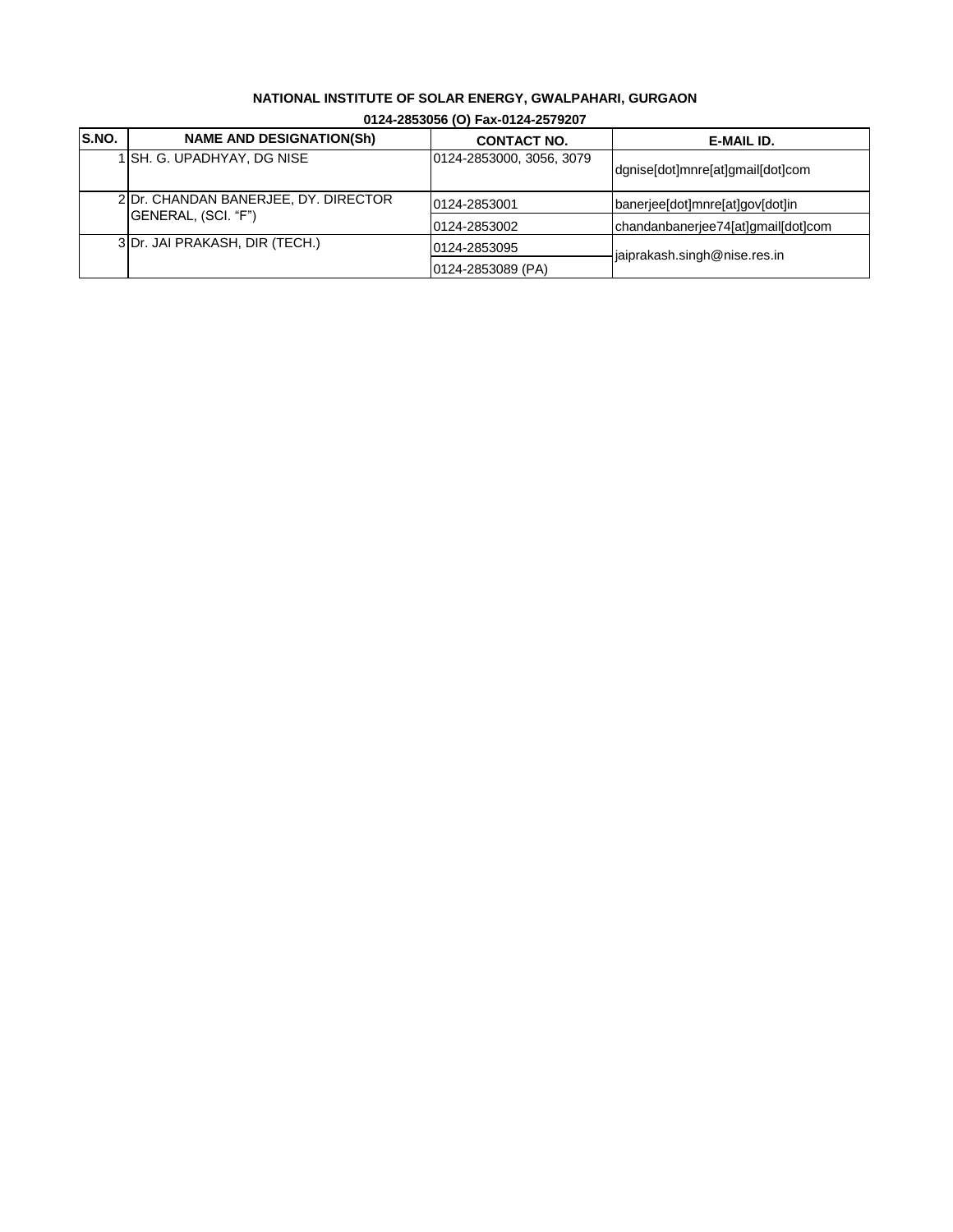## **NATIONAL INSTITUTE OF SOLAR ENERGY, GWALPAHARI, GURGAON**

| S.NO. | <b>NAME AND DESIGNATION(Sh)</b>      | <b>CONTACT NO.</b>       | E-MAIL ID.                         |
|-------|--------------------------------------|--------------------------|------------------------------------|
|       | 1 SH. G. UPADHYAY, DG NISE           | 0124-2853000, 3056, 3079 | dgnise[dot]mnre[at]gmail[dot]com   |
|       | 2 Dr. CHANDAN BANERJEE, DY. DIRECTOR | 0124-2853001             | banerjee[dot]mnre[at]gov[dot]in    |
|       | (GENERAL, (SCI. "F")                 | 0124-2853002             | chandanbanerjee74[at]qmail[dot]com |
|       | 3 Dr. JAI PRAKASH, DIR (TECH.)       | 0124-2853095             | jaiprakash.singh@nise.res.in       |
|       |                                      | 0124-2853089 (PA)        |                                    |

### **0124-2853056 (O) Fax-0124-2579207**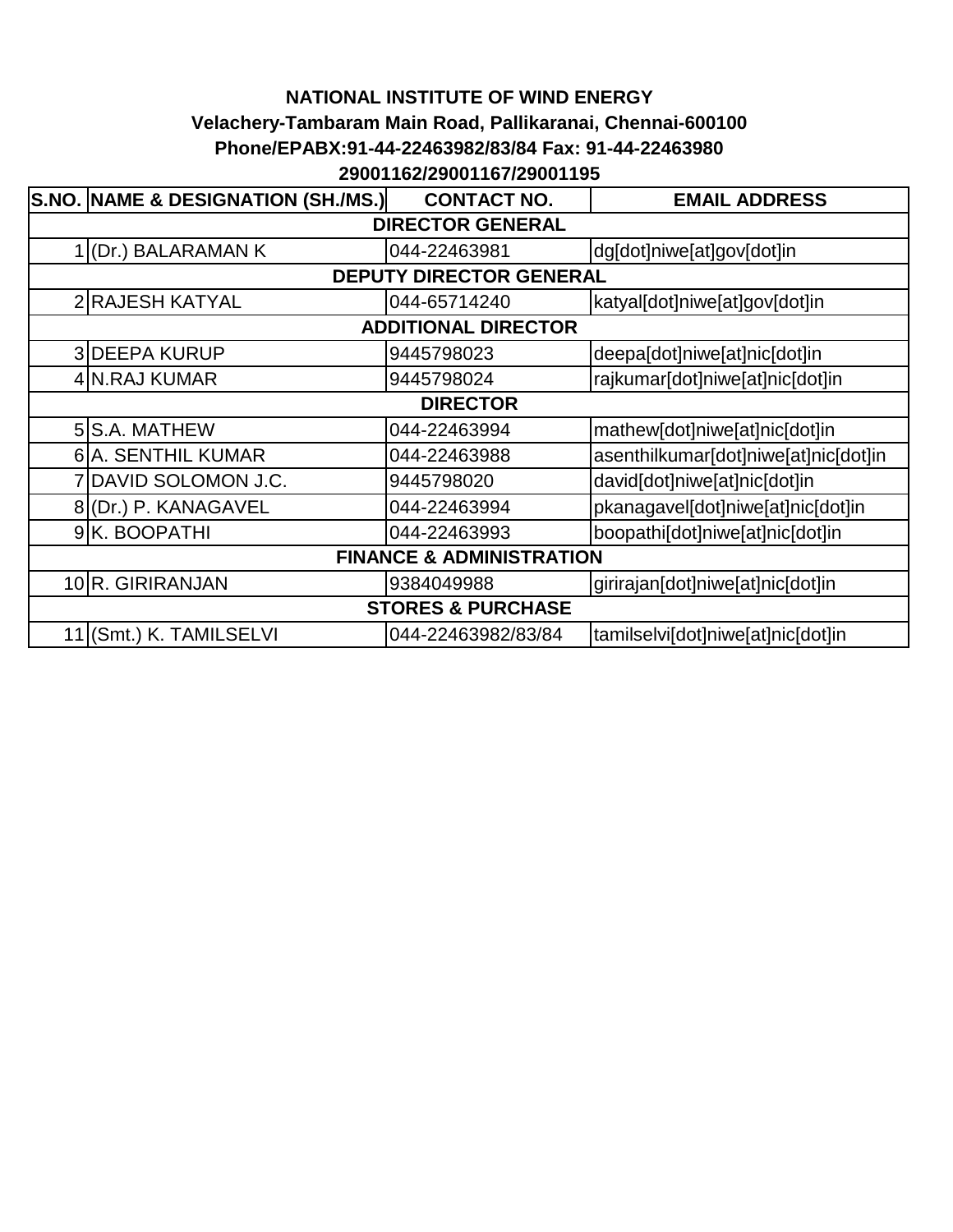## **NATIONAL INSTITUTE OF WIND ENERGY Velachery-Tambaram Main Road, Pallikaranai, Chennai-600100 Phone/EPABX:91-44-22463982/83/84 Fax: 91-44-22463980 29001162/29001167/29001195**

|                                     | S.NO. NAME & DESIGNATION (SH./MS.) | <b>CONTACT NO.</b>         | <b>EMAIL ADDRESS</b>                 |  |  |  |
|-------------------------------------|------------------------------------|----------------------------|--------------------------------------|--|--|--|
|                                     | <b>DIRECTOR GENERAL</b>            |                            |                                      |  |  |  |
|                                     | 1 (Dr.) BALARAMAN K                | 044-22463981               | dg[dot]niwe[at]gov[dot]in            |  |  |  |
|                                     |                                    | DEPUTY DIRECTOR GENERAL    |                                      |  |  |  |
|                                     | 2 RAJESH KATYAL                    | 044-65714240               | katyal[dot]niwe[at]gov[dot]in        |  |  |  |
|                                     |                                    | <b>ADDITIONAL DIRECTOR</b> |                                      |  |  |  |
|                                     | <b>3DEEPA KURUP</b>                | 9445798023                 | deepa[dot]niwe[at]nic[dot]in         |  |  |  |
|                                     | 4 N.RAJ KUMAR                      | 9445798024                 | rajkumar[dot]niwe[at]nic[dot]in      |  |  |  |
|                                     |                                    | <b>DIRECTOR</b>            |                                      |  |  |  |
|                                     | 5 S.A. MATHEW                      | 044-22463994               | mathew[dot]niwe[at]nic[dot]in        |  |  |  |
|                                     | 6 A. SENTHIL KUMAR                 | 044-22463988               | asenthilkumar[dot]niwe[at]nic[dot]in |  |  |  |
|                                     | DAVID SOLOMON J.C.                 | 9445798020                 | david[dot]niwe[at]nic[dot]in         |  |  |  |
|                                     | 8(Dr.) P. KANAGAVEL                | 044-22463994               | pkanagavel[dot]niwe[at]nic[dot]in    |  |  |  |
|                                     | 9K. BOOPATHI                       | 044-22463993               | boopathi[dot]niwe[at]nic[dot]in      |  |  |  |
| <b>FINANCE &amp; ADMINISTRATION</b> |                                    |                            |                                      |  |  |  |
|                                     | 10R. GIRIRANJAN                    | 9384049988                 | girirajan[dot]niwe[at]nic[dot]in     |  |  |  |
| <b>STORES &amp; PURCHASE</b>        |                                    |                            |                                      |  |  |  |
|                                     | 11 (Smt.) K. TAMILSELVI            | 044-22463982/83/84         | tamilselvi[dot]niwe[at]nic[dot]in    |  |  |  |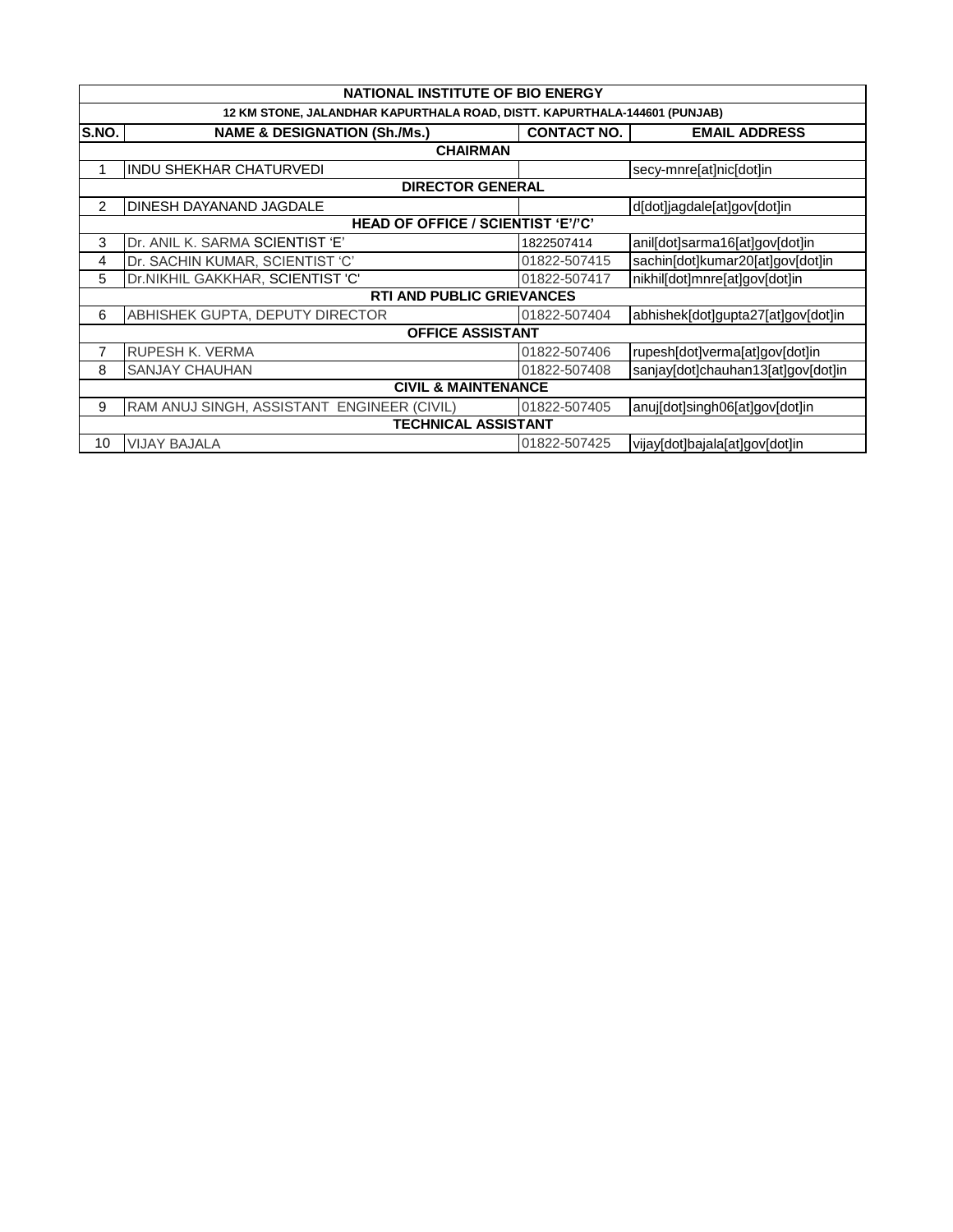|       | <b>NATIONAL INSTITUTE OF BIO ENERGY</b>                                   |                    |                                    |  |  |  |
|-------|---------------------------------------------------------------------------|--------------------|------------------------------------|--|--|--|
|       | 12 KM STONE, JALANDHAR KAPURTHALA ROAD, DISTT. KAPURTHALA-144601 (PUNJAB) |                    |                                    |  |  |  |
| S.NO. | <b>NAME &amp; DESIGNATION (Sh./Ms.)</b>                                   | <b>CONTACT NO.</b> | <b>EMAIL ADDRESS</b>               |  |  |  |
|       | <b>CHAIRMAN</b>                                                           |                    |                                    |  |  |  |
|       | INDU SHEKHAR CHATURVEDI                                                   |                    | secy-mnre[at]nic[dot]in            |  |  |  |
|       | <b>DIRECTOR GENERAL</b>                                                   |                    |                                    |  |  |  |
| 2     | DINESH DAYANAND JAGDALE                                                   |                    | d[dot]jagdale[at]gov[dot]in        |  |  |  |
|       | <b>HEAD OF OFFICE / SCIENTIST 'E'/'C'</b>                                 |                    |                                    |  |  |  |
| 3     | Dr. ANIL K. SARMA SCIENTIST 'E'                                           | 1822507414         | anil[dot]sarma16[at]gov[dot]in     |  |  |  |
| 4     | Dr. SACHIN KUMAR, SCIENTIST 'C'                                           | 01822-507415       | sachin[dot]kumar20[at]gov[dot]in   |  |  |  |
| 5     | Dr.NIKHIL GAKKHAR, SCIENTIST 'C'                                          | 01822-507417       | nikhil[dot]mnre[at]gov[dot]in      |  |  |  |
|       | <b>RTI AND PUBLIC GRIEVANCES</b>                                          |                    |                                    |  |  |  |
| 6     | ABHISHEK GUPTA, DEPUTY DIRECTOR                                           | 01822-507404       | abhishek[dot]gupta27[at]gov[dot]in |  |  |  |
|       | <b>OFFICE ASSISTANT</b>                                                   |                    |                                    |  |  |  |
| 7     | <b>RUPESH K. VERMA</b>                                                    | 01822-507406       | rupesh[dot]verma[at]gov[dot]in     |  |  |  |
| 8     | <b>SANJAY CHAUHAN</b>                                                     | 01822-507408       | sanjay[dot]chauhan13[at]gov[dot]in |  |  |  |
|       | <b>CIVIL &amp; MAINTENANCE</b>                                            |                    |                                    |  |  |  |
| 9     | RAM ANUJ SINGH, ASSISTANT ENGINEER (CIVIL)                                | 01822-507405       | anuj[dot]singh06[at]gov[dot]in     |  |  |  |
|       | <b>TECHNICAL ASSISTANT</b>                                                |                    |                                    |  |  |  |
| 10    | <b>VIJAY BAJALA</b>                                                       | 01822-507425       | vijay[dot]bajala[at]gov[dot]in     |  |  |  |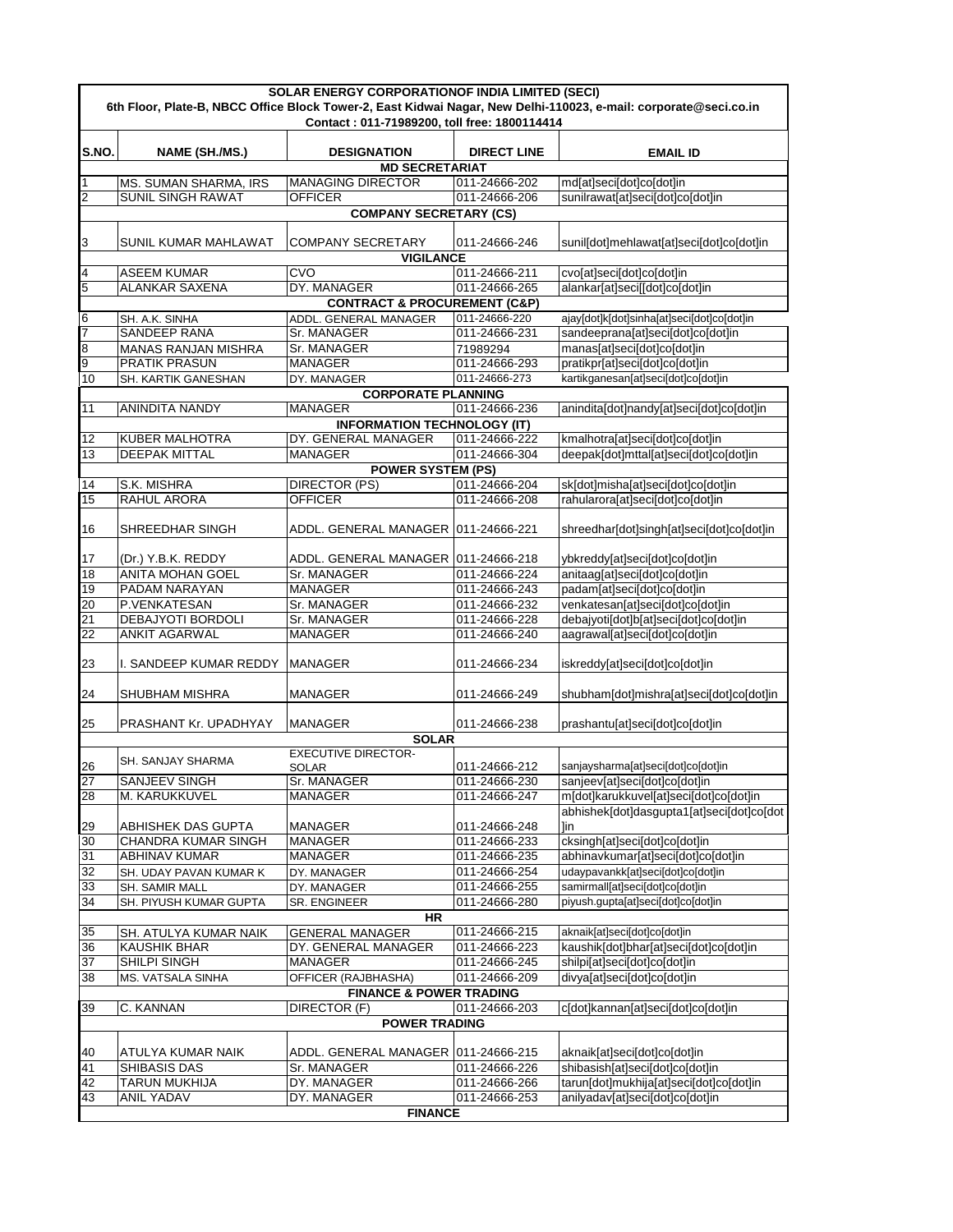| <b>SOLAR ENERGY CORPORATIONOF INDIA LIMITED (SECI)</b> |                                                   |                                                                      |                                |                                                                                                                  |
|--------------------------------------------------------|---------------------------------------------------|----------------------------------------------------------------------|--------------------------------|------------------------------------------------------------------------------------------------------------------|
|                                                        |                                                   | Contact: 011-71989200, toll free: 1800114414                         |                                | 6th Floor, Plate-B, NBCC Office Block Tower-2, East Kidwai Nagar, New Delhi-110023, e-mail: corporate@seci.co.in |
|                                                        |                                                   |                                                                      |                                |                                                                                                                  |
| S.NO.                                                  | NAME (SH./MS.)                                    | <b>DESIGNATION</b>                                                   | <b>DIRECT LINE</b>             | <b>EMAIL ID</b>                                                                                                  |
|                                                        |                                                   | <b>MD SECRETARIAT</b>                                                |                                |                                                                                                                  |
| 1                                                      | MS. SUMAN SHARMA, IRS<br><b>SUNIL SINGH RAWAT</b> | <b>MANAGING DIRECTOR</b>                                             | 011-24666-202                  | md[at]seci[dot]co[dot]in                                                                                         |
| $\overline{2}$                                         |                                                   | <b>OFFICER</b><br><b>COMPANY SECRETARY (CS)</b>                      | 011-24666-206                  | sunilrawat[at]seci[dot]co[dot]in                                                                                 |
|                                                        |                                                   |                                                                      |                                |                                                                                                                  |
| 3                                                      | SUNIL KUMAR MAHLAWAT                              | <b>COMPANY SECRETARY</b>                                             | 011-24666-246                  | sunil[dot]mehlawat[at]seci[dot]co[dot]in                                                                         |
|                                                        |                                                   | <b>VIGILANCE</b>                                                     |                                |                                                                                                                  |
| 4                                                      | <b>ASEEM KUMAR</b>                                | CVO                                                                  | 011-24666-211                  | cvo[at]seci[dot]co[dot]in                                                                                        |
| 5                                                      | <b>ALANKAR SAXENA</b>                             | DY. MANAGER                                                          | 011-24666-265                  | alankar[at]seci[[dot]co[dot]in                                                                                   |
| 6                                                      | SH. A.K. SINHA                                    | <b>CONTRACT &amp; PROCUREMENT (C&amp;P)</b><br>ADDL. GENERAL MANAGER | 011-24666-220                  | ajay[dot]k[dot]sinha[at]seci[dot]co[dot]in                                                                       |
| 7                                                      | <b>SANDEEP RANA</b>                               | Sr. MANAGER                                                          | 011-24666-231                  | sandeeprana[at]seci[dot]co[dot]in                                                                                |
| 8                                                      | <b>MANAS RANJAN MISHRA</b>                        | Sr. MANAGER                                                          | 71989294                       | manas[at]seci[dot]co[dot]in                                                                                      |
| 9                                                      | <b>PRATIK PRASUN</b>                              | MANAGER                                                              | 011-24666-293                  | pratikpr[at]seci[dot]co[dot]in                                                                                   |
| 10                                                     | SH. KARTIK GANESHAN                               | DY. MANAGER                                                          | 011-24666-273                  | kartikganesan[at]seci[dot]co[dot]in                                                                              |
|                                                        |                                                   | <b>CORPORATE PLANNING</b>                                            |                                |                                                                                                                  |
| 11                                                     | <b>ANINDITA NANDY</b>                             | <b>MANAGER</b>                                                       | 011-24666-236                  | anindita[dot]nandy[at]seci[dot]co[dot]in                                                                         |
|                                                        | <b>KUBER MALHOTRA</b>                             | <b>INFORMATION TECHNOLOGY (IT)</b><br>DY. GENERAL MANAGER            | 011-24666-222                  |                                                                                                                  |
| 12<br>13                                               | <b>DEEPAK MITTAL</b>                              | <b>MANAGER</b>                                                       | 011-24666-304                  | kmalhotra[at]seci[dot]co[dot]in<br>deepak[dot]mttal[at]seci[dot]co[dot]in                                        |
|                                                        |                                                   | <b>POWER SYSTEM (PS)</b>                                             |                                |                                                                                                                  |
| $\overline{14}$                                        | S.K. MISHRA                                       | <b>DIRECTOR (PS)</b>                                                 | 011-24666-204                  | sk[dot]misha[at]seci[dot]co[dot]in                                                                               |
| 15                                                     | <b>RAHUL ARORA</b>                                | <b>OFFICER</b>                                                       | 011-24666-208                  | rahularora[at]seci[dot]co[dot]in                                                                                 |
|                                                        |                                                   |                                                                      |                                |                                                                                                                  |
| 16                                                     | SHREEDHAR SINGH                                   | ADDL. GENERAL MANAGER   011-24666-221                                |                                | shreedhar[dot]singh[at]seci[dot]co[dot]in                                                                        |
| 17                                                     | (Dr.) Y.B.K. REDDY                                | ADDL. GENERAL MANAGER 011-24666-218                                  |                                | ybkreddy[at]seci[dot]co[dot]in                                                                                   |
| 18                                                     | <b>ANITA MOHAN GOEL</b>                           | Sr. MANAGER                                                          | 011-24666-224                  | anitaag[at]seci[dot]co[dot]in                                                                                    |
| 19                                                     | PADAM NARAYAN                                     | <b>MANAGER</b>                                                       | 011-24666-243                  | padam[at]seci[dot]co[dot]in                                                                                      |
| 20                                                     | P.VENKATESAN                                      | Sr. MANAGER                                                          | 011-24666-232                  | venkatesan[at]seci[dot]co[dot]in                                                                                 |
| 21                                                     | <b>DEBAJYOTI BORDOLI</b>                          | Sr. MANAGER                                                          | 011-24666-228                  | debajyoti[dot]b[at]seci[dot]co[dot]in                                                                            |
| 22                                                     | <b>ANKIT AGARWAL</b>                              | <b>MANAGER</b>                                                       | 011-24666-240                  | aagrawal[at]seci[dot]co[dot]in                                                                                   |
| 23                                                     | I. SANDEEP KUMAR REDDY                            | <b>MANAGER</b>                                                       | 011-24666-234                  | iskreddy[at]seci[dot]co[dot]in                                                                                   |
| 24                                                     | <b>SHUBHAM MISHRA</b>                             | <b>MANAGER</b>                                                       | 011-24666-249                  | shubham[dot]mishra[at]seci[dot]co[dot]in                                                                         |
| 25                                                     | PRASHANT Kr. UPADHYAY                             | <b>MANAGER</b>                                                       | 011-24666-238                  | prashantu[at]seci[dot]co[dot]in                                                                                  |
|                                                        |                                                   | <b>SOLAR</b><br><b>EXECUTIVE DIRECTOR-</b>                           |                                |                                                                                                                  |
| 26                                                     | SH. SANJAY SHARMA                                 | SOLAR                                                                | 011-24666-212                  | sanjaysharma[at]seci[dot]co[dot]in                                                                               |
| 27                                                     | <b>SANJEEV SINGH</b>                              | <b>Sr. MANAGER</b>                                                   | 011-24666-230                  | sanjeev[at]seci[dot]co[dot]in                                                                                    |
| 28                                                     | M. KARUKKUVEL                                     | <b>MANAGER</b>                                                       | 011-24666-247                  | m[dot]karukkuvel[at]seci[dot]co[dot]in                                                                           |
|                                                        |                                                   |                                                                      |                                | abhishek[dot]dasgupta1[at]seci[dot]co[dot                                                                        |
| 29                                                     | ABHISHEK DAS GUPTA                                | <b>MANAGER</b>                                                       | 011-24666-248                  | 1in                                                                                                              |
| 30                                                     | <b>CHANDRA KUMAR SINGH</b>                        | <b>MANAGER</b>                                                       | 011-24666-233                  | cksingh[at]seci[dot]co[dot]in                                                                                    |
| 31<br>32                                               | ABHINAV KUMAR<br>SH. UDAY PAVAN KUMAR K           | MANAGER                                                              | 011-24666-235<br>011-24666-254 | abhinavkumar[at]seci[dot]co[dot]in<br>udaypavankk[at]seci[dot]co[dot]in                                          |
| 33                                                     | SH. SAMIR MALL                                    | DY. MANAGER<br>DY. MANAGER                                           | 011-24666-255                  | samirmall[at]seci[dot]co[dot]in                                                                                  |
| 34                                                     | SH. PIYUSH KUMAR GUPTA                            | SR. ENGINEER                                                         | 011-24666-280                  | piyush.gupta[at]seci[dot]co[dot]in                                                                               |
|                                                        |                                                   | <b>HR</b>                                                            |                                |                                                                                                                  |
| 35                                                     | SH. ATULYA KUMAR NAIK                             | <b>GENERAL MANAGER</b>                                               | 011-24666-215                  | aknaik[at]seci[dot]co[dot]in                                                                                     |
| 36                                                     | <b>KAUSHIK BHAR</b>                               | DY. GENERAL MANAGER                                                  | 011-24666-223                  | kaushik[dot]bhar[at]seci[dot]co[dot]in                                                                           |
| 37                                                     | SHILPI SINGH                                      | <b>MANAGER</b>                                                       | 011-24666-245                  | shilpi[at]seci[dot]co[dot]in                                                                                     |
| 38                                                     | MS. VATSALA SINHA                                 | OFFICER (RAJBHASHA)                                                  | 011-24666-209                  | divya[at]seci[dot]co[dot]in                                                                                      |
|                                                        |                                                   | <b>FINANCE &amp; POWER TRADING</b>                                   |                                |                                                                                                                  |
| 39                                                     | C. KANNAN                                         | DIRECTOR (F)                                                         | 011-24666-203                  | c[dot]kannan[at]seci[dot]co[dot]in                                                                               |
|                                                        |                                                   | <b>POWER TRADING</b>                                                 |                                |                                                                                                                  |
| 40                                                     | ATULYA KUMAR NAIK                                 | ADDL. GENERAL MANAGER  011-24666-215                                 |                                | aknaik[at]seci[dot]co[dot]in                                                                                     |
| 41                                                     | SHIBASIS DAS                                      | Sr. MANAGER                                                          | 011-24666-226                  | shibasish[at]seci[dot]co[dot]in                                                                                  |
| 42                                                     | TARUN MUKHIJA                                     | DY. MANAGER                                                          | 011-24666-266                  | tarun[dot]mukhija[at]seci[dot]co[dot]in                                                                          |
| 43                                                     | <b>ANIL YADAV</b>                                 | DY. MANAGER                                                          | 011-24666-253                  | anilyadav[at]seci[dot]co[dot]in                                                                                  |
|                                                        |                                                   | <b>FINANCE</b>                                                       |                                |                                                                                                                  |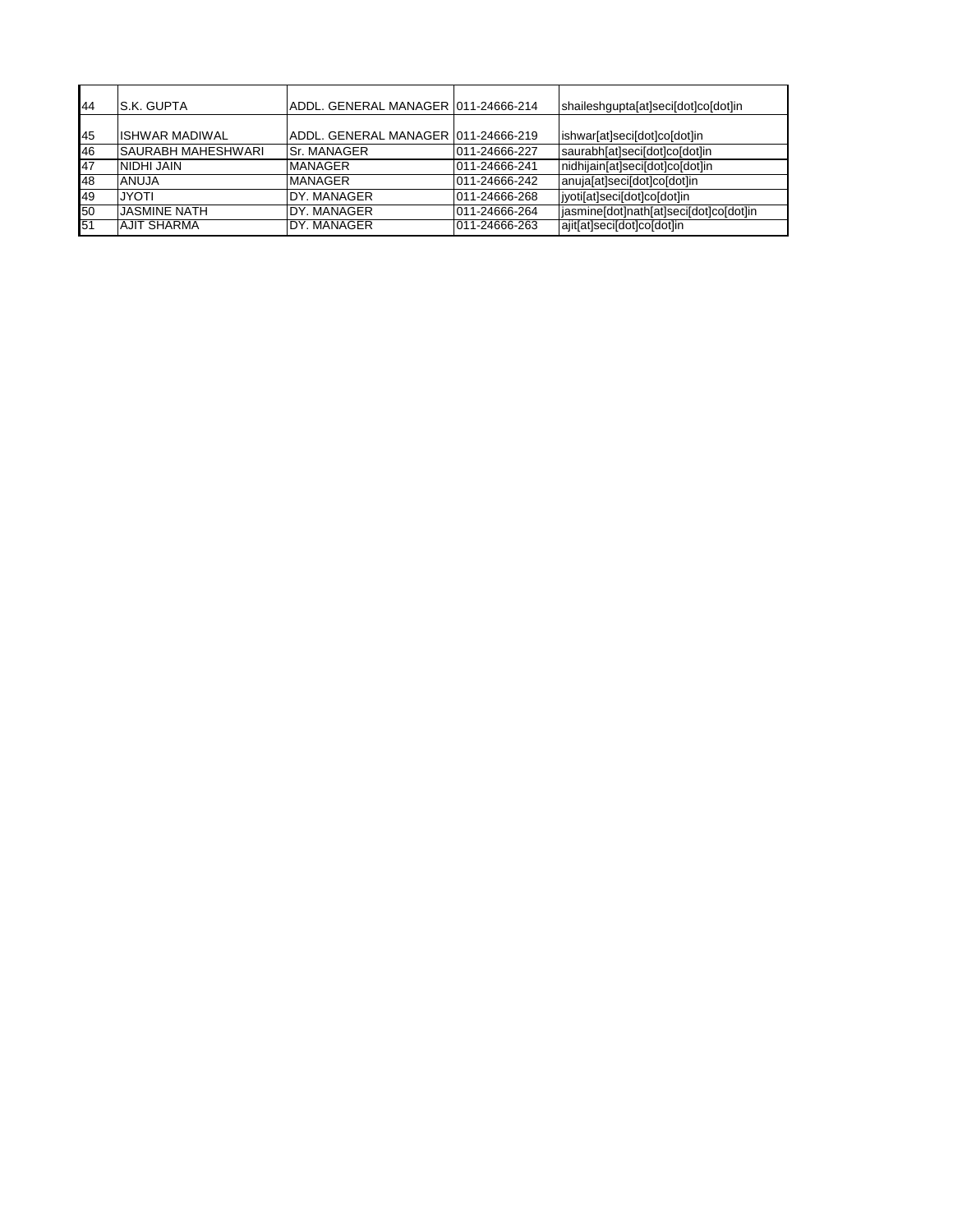| 44 | <b>S.K. GUPTA</b>         | ADDL. GENERAL MANAGER 1011-24666-214 |               | shaileshgupta[at]seci[dot]co[dot]in    |
|----|---------------------------|--------------------------------------|---------------|----------------------------------------|
|    |                           |                                      |               |                                        |
| 45 | <b>ISHWAR MADIWAL</b>     | ADDL, GENERAL MANAGER 011-24666-219  |               | ishwar[at]seci[dot]co[dot]in           |
| 46 | <b>SAURABH MAHESHWARI</b> | lSr. MANAGER                         | 011-24666-227 | saurabh[at]seci[dot]co[dot]in          |
| 47 | NIDHI JAIN                | <b>MANAGER</b>                       | 011-24666-241 | nidhijain[at]seci[dot]co[dot]in        |
| 48 | <b>ANUJA</b>              | <b>MANAGER</b>                       | 011-24666-242 | anuja[at]seci[dot]co[dot]in            |
| 49 | <b>JYOTI</b>              | DY, MANAGER                          | 011-24666-268 | jyoti[at]seci[dot]co[dot]in            |
| 50 | <b>JASMINE NATH</b>       | DY, MANAGER                          | 011-24666-264 | jasmine[dot]nath[at]seci[dot]co[dot]in |
| 51 | <b>AJIT SHARMA</b>        | DY. MANAGER                          | 011-24666-263 | ajit[at]seci[dot]co[dot]in             |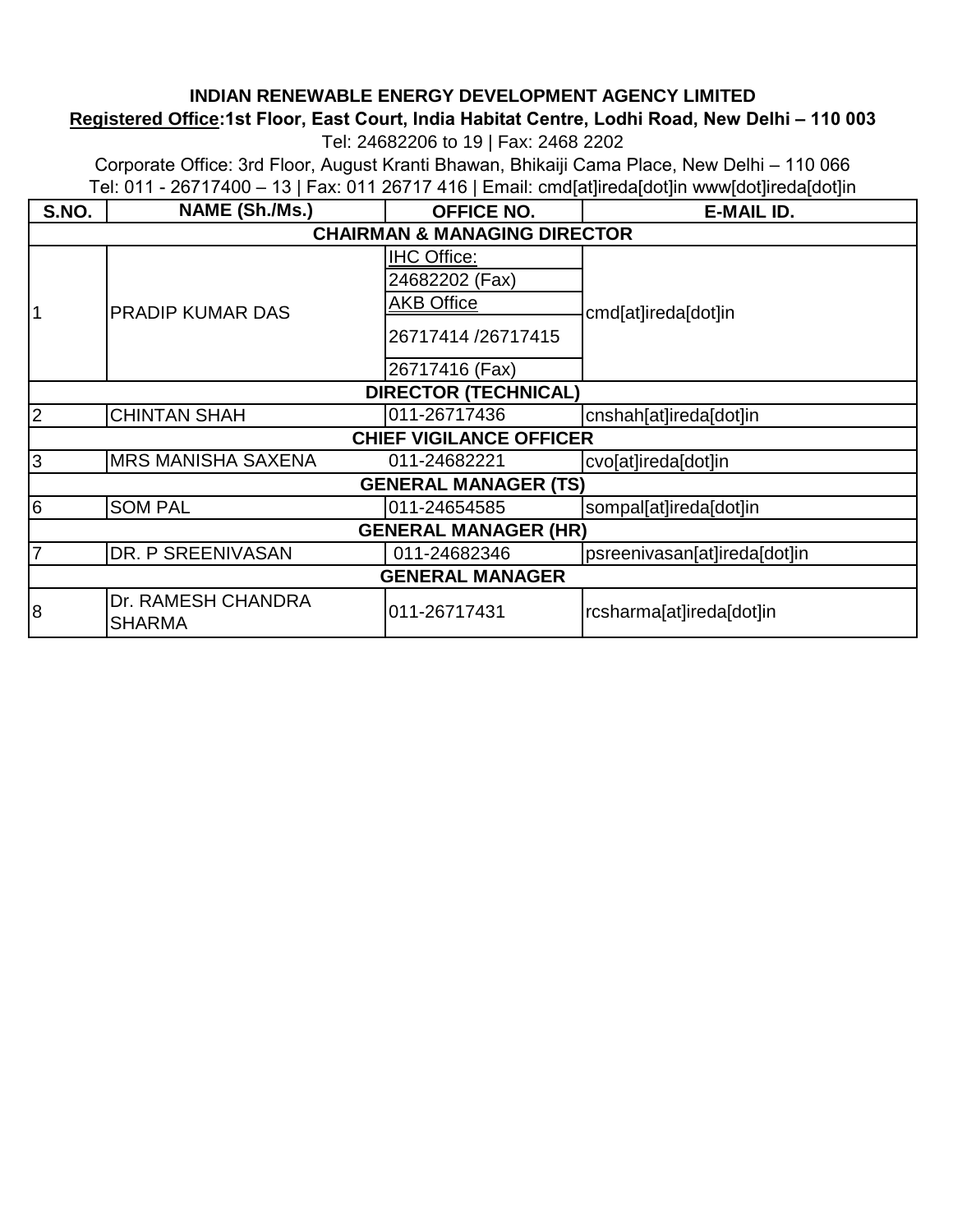#### **INDIAN RENEWABLE ENERGY DEVELOPMENT AGENCY LIMITED**

### **Registered Office:1st Floor, East Court, India Habitat Centre, Lodhi Road, New Delhi – 110 003**

Tel: 24682206 to 19 | Fax: 2468 2202

Corporate Office: 3rd Floor, August Kranti Bhawan, Bhikaiji Cama Place, New Delhi – 110 066 [Te](http://www.ireda.in/)l: 011 - 26717400 – 13 | Fax: 011 26717 416 | Email: cmd[at]ireda[dot]in www[dot]ireda[dot]in

| S.NO.                       | NAME (Sh./Ms.)                      | <b>OFFICE NO.</b>                       | E-MAIL ID.                   |  |  |
|-----------------------------|-------------------------------------|-----------------------------------------|------------------------------|--|--|
|                             |                                     | <b>CHAIRMAN &amp; MANAGING DIRECTOR</b> |                              |  |  |
|                             |                                     | <b>IHC Office:</b>                      |                              |  |  |
|                             |                                     | 24682202 (Fax)                          |                              |  |  |
| $\mathbf 1$                 | <b>PRADIP KUMAR DAS</b>             | <b>AKB Office</b>                       | cmd[at]ireda[dot]in          |  |  |
|                             |                                     | 26717414/26717415                       |                              |  |  |
|                             |                                     | 26717416 (Fax)                          |                              |  |  |
|                             |                                     | <b>DIRECTOR (TECHNICAL)</b>             |                              |  |  |
| $\overline{2}$              | <b>CHINTAN SHAH</b>                 | 011-26717436                            | cnshah[at]ireda[dot]in       |  |  |
|                             |                                     | <b>CHIEF VIGILANCE OFFICER</b>          |                              |  |  |
| S                           | <b>MRS MANISHA SAXENA</b>           | 011-24682221                            | cvo[at]ireda[dot]in          |  |  |
|                             |                                     | <b>GENERAL MANAGER (TS)</b>             |                              |  |  |
| $6\overline{6}$             | <b>SOM PAL</b>                      | 011-24654585                            | sompal[at]ireda[dot]in       |  |  |
| <b>GENERAL MANAGER (HR)</b> |                                     |                                         |                              |  |  |
| $\overline{7}$              | DR. P SREENIVASAN                   | 011-24682346                            | psreenivasan[at]ireda[dot]in |  |  |
|                             |                                     | <b>GENERAL MANAGER</b>                  |                              |  |  |
| 8                           | Dr. RAMESH CHANDRA<br><b>SHARMA</b> | 011-26717431                            | rcsharma[at]ireda[dot]in     |  |  |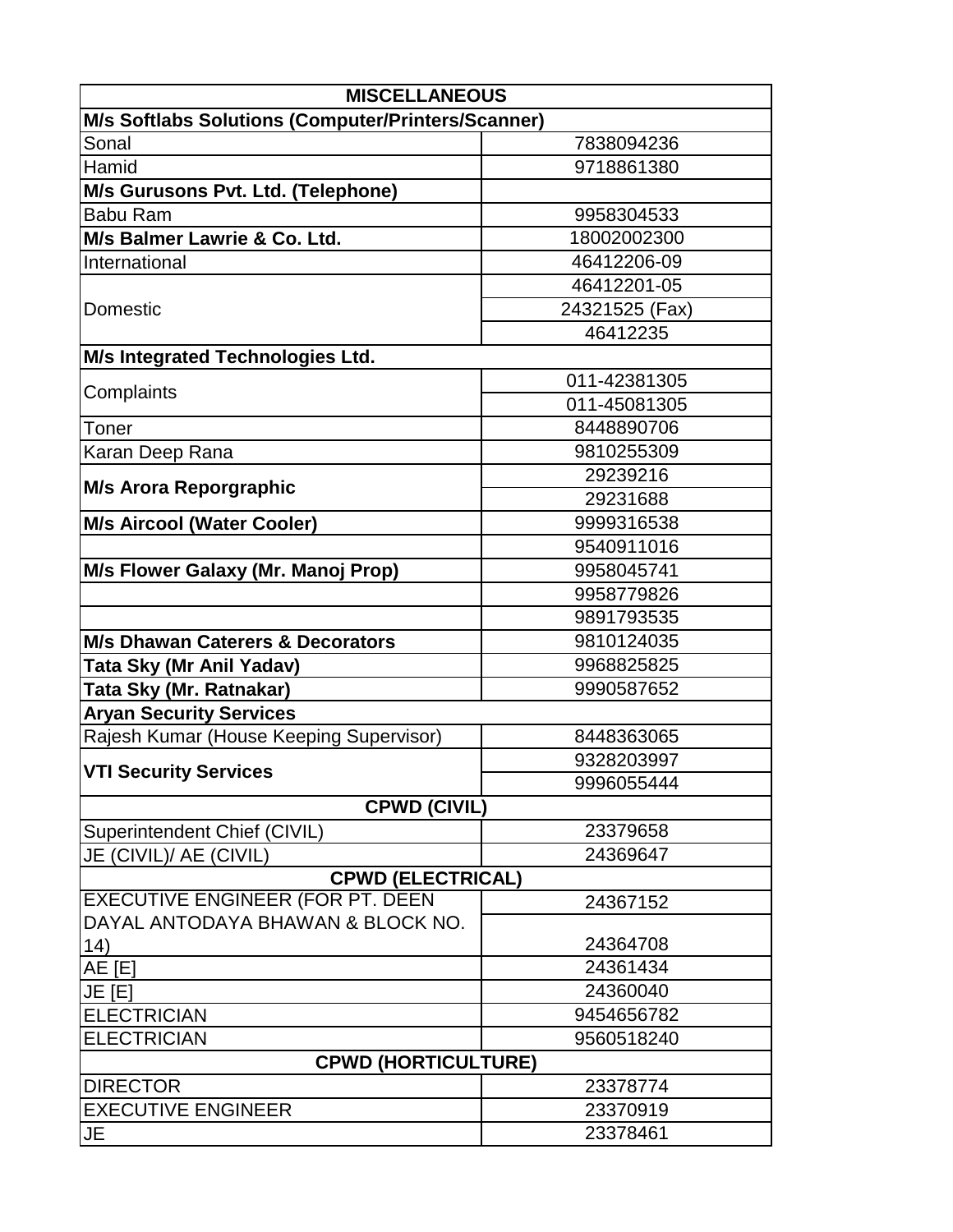| <b>MISCELLANEOUS</b>                               |                |  |  |  |
|----------------------------------------------------|----------------|--|--|--|
| M/s Softlabs Solutions (Computer/Printers/Scanner) |                |  |  |  |
| Sonal                                              | 7838094236     |  |  |  |
| Hamid                                              | 9718861380     |  |  |  |
| M/s Gurusons Pvt. Ltd. (Telephone)                 |                |  |  |  |
| <b>Babu Ram</b>                                    | 9958304533     |  |  |  |
| M/s Balmer Lawrie & Co. Ltd.                       | 18002002300    |  |  |  |
| International                                      | 46412206-09    |  |  |  |
|                                                    | 46412201-05    |  |  |  |
| <b>Domestic</b>                                    | 24321525 (Fax) |  |  |  |
|                                                    | 46412235       |  |  |  |
| M/s Integrated Technologies Ltd.                   |                |  |  |  |
| Complaints                                         | 011-42381305   |  |  |  |
|                                                    | 011-45081305   |  |  |  |
| Toner                                              | 8448890706     |  |  |  |
| Karan Deep Rana                                    | 9810255309     |  |  |  |
| <b>M/s Arora Reporgraphic</b>                      | 29239216       |  |  |  |
|                                                    | 29231688       |  |  |  |
| <b>M/s Aircool (Water Cooler)</b>                  | 9999316538     |  |  |  |
|                                                    | 9540911016     |  |  |  |
| M/s Flower Galaxy (Mr. Manoj Prop)                 | 9958045741     |  |  |  |
|                                                    | 9958779826     |  |  |  |
|                                                    | 9891793535     |  |  |  |
| <b>M/s Dhawan Caterers &amp; Decorators</b>        | 9810124035     |  |  |  |
| Tata Sky (Mr Anil Yadav)                           | 9968825825     |  |  |  |
| Tata Sky (Mr. Ratnakar)                            | 9990587652     |  |  |  |
| <b>Aryan Security Services</b>                     |                |  |  |  |
| Rajesh Kumar (House Keeping Supervisor)            | 8448363065     |  |  |  |
| <b>VTI Security Services</b>                       | 9328203997     |  |  |  |
|                                                    | 9996055444     |  |  |  |
| <b>CPWD (CIVIL)</b>                                |                |  |  |  |
| Superintendent Chief (CIVIL)                       | 23379658       |  |  |  |
| JE (CIVIL)/ AE (CIVIL)                             | 24369647       |  |  |  |
| <b>CPWD (ELECTRICAL)</b>                           |                |  |  |  |
| <b>EXECUTIVE ENGINEER (FOR PT. DEEN)</b>           | 24367152       |  |  |  |
| DAYAL ANTODAYA BHAWAN & BLOCK NO.                  |                |  |  |  |
| 14)                                                | 24364708       |  |  |  |
| <b>AE [E]</b>                                      | 24361434       |  |  |  |
| JE [E]                                             | 24360040       |  |  |  |
| <b>ELECTRICIAN</b>                                 | 9454656782     |  |  |  |
| <b>ELECTRICIAN</b><br>9560518240                   |                |  |  |  |
| <b>CPWD (HORTICULTURE)</b>                         |                |  |  |  |
| <b>DIRECTOR</b>                                    | 23378774       |  |  |  |
| <b>EXECUTIVE ENGINEER</b>                          | 23370919       |  |  |  |
| JE                                                 | 23378461       |  |  |  |